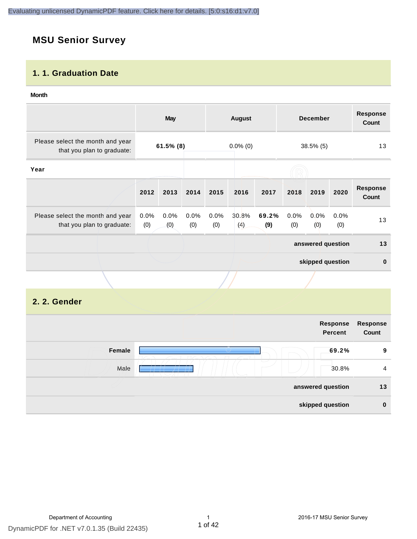# **MSU Senior Survey**

#### **1. 1. Graduation Date**

#### **Month**

|                                                                |                | May          |             |             | <b>August</b> |              |             | <b>December</b>   |             | <b>Response</b><br>Count |
|----------------------------------------------------------------|----------------|--------------|-------------|-------------|---------------|--------------|-------------|-------------------|-------------|--------------------------|
| Please select the month and year<br>that you plan to graduate: |                | $61.5\%$ (8) |             |             | $0.0\%$ (0)   |              |             | $38.5\%$ (5)      |             | 13                       |
| Year                                                           |                |              |             |             |               |              |             |                   |             |                          |
|                                                                | 2012           | 2013         | 2014        | 2015        | 2016          | 2017         | 2018        | 2019              | 2020        | <b>Response</b><br>Count |
| Please select the month and year<br>that you plan to graduate: | $0.0\%$<br>(0) | 0.0%<br>(0)  | 0.0%<br>(0) | 0.0%<br>(0) | 30.8%<br>(4)  | 69.2%<br>(9) | 0.0%<br>(0) | 0.0%<br>(0)       | 0.0%<br>(0) | 13                       |
|                                                                |                |              |             |             |               |              |             | answered question |             | 13                       |
|                                                                |                |              |             |             |               |              |             | skipped question  |             | $\mathbf{0}$             |
|                                                                |                |              |             |             |               |              |             |                   |             |                          |

### **2. 2. Gender**

|        | Response<br><b>Percent</b>        | Response<br>Count |
|--------|-----------------------------------|-------------------|
| Female | 69.2%                             | 9                 |
| Male   | $\overline{\phantom{a}}$<br>30.8% | $\overline{4}$    |
|        | answered question                 | 13                |
|        | skipped question                  | $\bf{0}$          |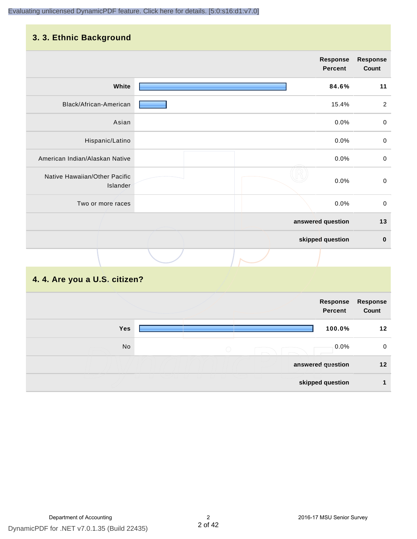#### **3. 3. Ethnic Background**

| . <b>.</b>                                |  |                            |                          |
|-------------------------------------------|--|----------------------------|--------------------------|
|                                           |  | <b>Response</b><br>Percent | <b>Response</b><br>Count |
| White                                     |  | 84.6%                      | 11                       |
| Black/African-American                    |  | 15.4%                      | $\overline{2}$           |
| Asian                                     |  | 0.0%                       | $\pmb{0}$                |
| Hispanic/Latino                           |  | 0.0%                       | $\mbox{O}$               |
| American Indian/Alaskan Native            |  | 0.0%                       | $\mathbf 0$              |
| Native Hawaiian/Other Pacific<br>Islander |  | 0.0%                       | $\mathbf 0$              |
| Two or more races                         |  | 0.0%                       | $\mathsf 0$              |
|                                           |  | answered question          | $13$                     |
|                                           |  | skipped question           | $\pmb{0}$                |
|                                           |  |                            |                          |

# **4. 4. Are you a U.S. citizen?**

|     | Response<br><b>Percent</b> | Response<br>Count |
|-----|----------------------------|-------------------|
| Yes | 100.0%                     | 12                |
| No  | 0.0%<br>$\bigcirc$         | $\mathbf 0$       |
|     | answered question          | $12$              |
|     | skipped question           |                   |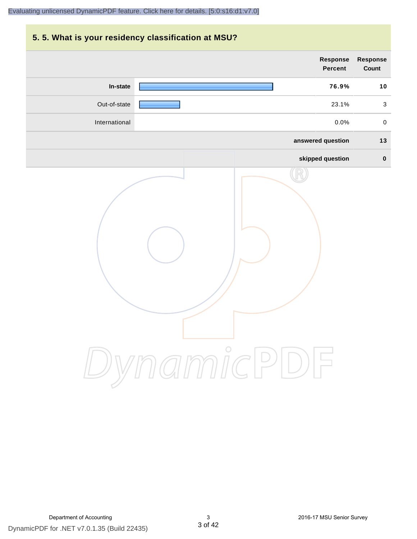# **5. 5. What is your residency classification at MSU? answered question 13 skipped question 0 Response Percent Response Count In-state 76.9% 10** Out-of-state 23.1% 3 International 0.0% 0 [Evaluating unlicensed DynamicPDF feature. Click here for details. \[5:0:s16:d1:v7.0\]](http://www.DynamicPDF.com/dplic/?d=T(EuYmIrxFe0nIre)

DynamicPDF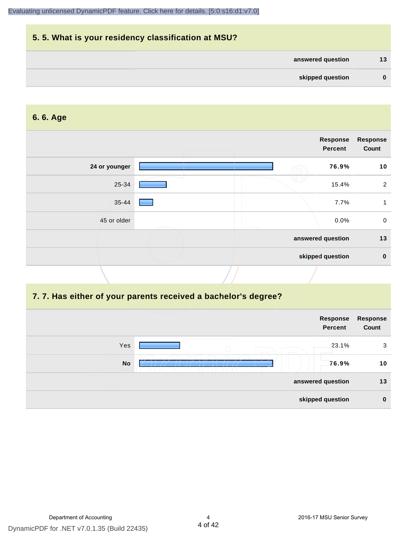# **5. 5. What is your residency classification at MSU? answered question 13 skipped question 0**

#### **6. 6. Age**

| <b>Response</b><br>Count |
|--------------------------|
| 10                       |
| 2                        |
|                          |
| $\mathbf 0$              |
| 13                       |
| $\mathbf 0$              |
|                          |

# **7. 7. Has either of your parents received a bachelor's degree?**

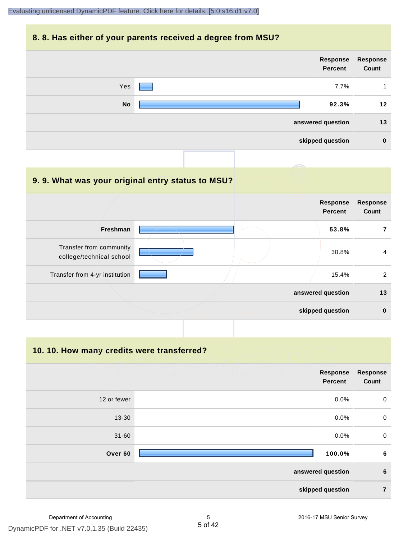#### **8. 8. Has either of your parents received a degree from MSU?**

| Response<br>Count | Response<br>Percent |           |
|-------------------|---------------------|-----------|
| 1                 | 7.7%                | Yes       |
| 12                | 92.3%               | <b>No</b> |
| 13                | answered question   |           |
| $\bf{0}$          | skipped question    |           |
|                   |                     |           |

| 9.9. What was your original entry status to MSU?    |                                   |                          |
|-----------------------------------------------------|-----------------------------------|--------------------------|
|                                                     | <b>Response</b><br><b>Percent</b> | <b>Response</b><br>Count |
| Freshman                                            | 53.8%                             | 7                        |
| Transfer from community<br>college/technical school | 30.8%                             | 4                        |
| Transfer from 4-yr institution                      | 15.4%                             | 2                        |
|                                                     | answered question                 | 13                       |
|                                                     | skipped question                  | $\bf{0}$                 |

**10. 10. How many credits were transferred?**

|             | Response<br>Percent | <b>Response</b><br>Count |
|-------------|---------------------|--------------------------|
| 12 or fewer | 0.0%                | $\mathbf 0$              |
| 13-30       | 0.0%                | $\mathbf 0$              |
| $31 - 60$   | 0.0%                | $\mathbf 0$              |
| Over 60     | 100.0%              | $\bf 6$                  |
|             | answered question   | $\boldsymbol{6}$         |
|             | skipped question    | $\overline{7}$           |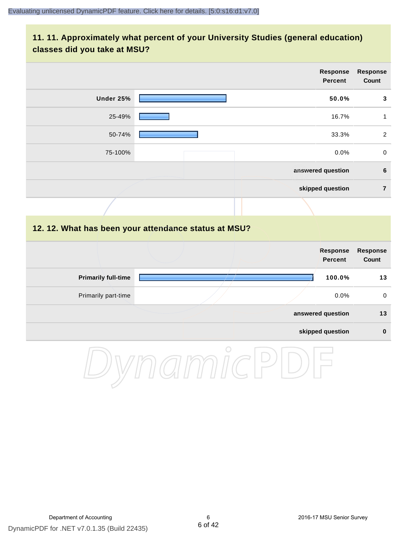### **11. 11. Approximately what percent of your University Studies (general education) classes did you take at MSU?**

|                            |                                                      | Response<br><b>Percent</b>        | <b>Response</b><br>Count |
|----------------------------|------------------------------------------------------|-----------------------------------|--------------------------|
| Under 25%                  |                                                      | 50.0%                             | $\mathbf{3}$             |
| 25-49%                     |                                                      | 16.7%                             | $\mathbf{1}$             |
| 50-74%                     |                                                      | 33.3%                             | $\sqrt{2}$               |
| 75-100%                    |                                                      | 0.0%                              | $\pmb{0}$                |
|                            |                                                      | answered question                 | 6                        |
|                            |                                                      | skipped question                  | $\overline{7}$           |
|                            |                                                      |                                   |                          |
|                            | 12. 12. What has been your attendance status at MSU? |                                   |                          |
|                            |                                                      | <b>Response</b><br><b>Percent</b> | <b>Response</b><br>Count |
| <b>Primarily full-time</b> |                                                      | 100.0%                            | 13                       |
| Primarily part-time        |                                                      | 0.0%                              | $\mathbf 0$              |
|                            |                                                      | answered question                 | 13                       |
|                            |                                                      | skipped question                  | $\pmb{0}$                |
|                            | $\curvearrowright$                                   |                                   |                          |

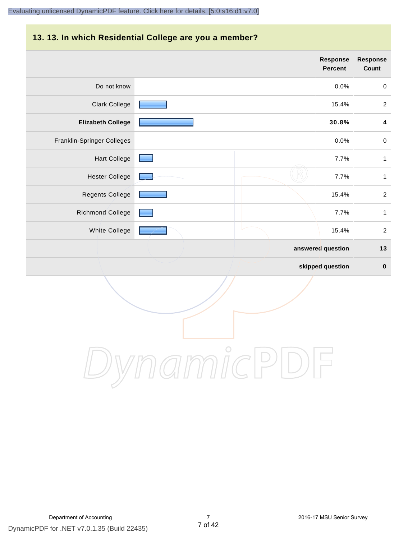#### **13. 13. In which Residential College are you a member?**

|                            | <b>Response</b><br><b>Percent</b> | <b>Response</b><br>Count |
|----------------------------|-----------------------------------|--------------------------|
| Do not know                | 0.0%                              | $\mathbf 0$              |
| <b>Clark College</b>       | 15.4%                             | $\overline{2}$           |
| <b>Elizabeth College</b>   | 30.8%                             | 4                        |
| Franklin-Springer Colleges | 0.0%                              | $\,0\,$                  |
| <b>Hart College</b>        | 7.7%                              | $\mathbf{1}$             |
| <b>Hester College</b>      | 7.7%                              | $\mathbf{1}$             |
| Regents College            | 15.4%                             | $\overline{2}$           |
| Richmond College           | 7.7%                              | $\mathbf{1}$             |
| White College              | 15.4%                             | $\overline{2}$           |
|                            | answered question                 | 13                       |
|                            | skipped question                  | $\pmb{0}$                |

DynamicPDF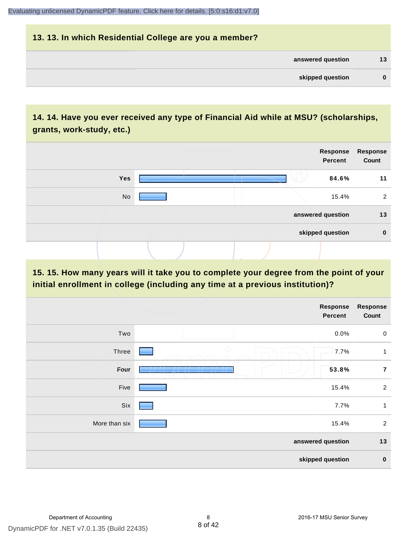# **13. 13. In which Residential College are you a member? answered question 13 skipped question 0**

# **14. 14. Have you ever received any type of Financial Aid while at MSU? (scholarships, grants, work-study, etc.)**



**15. 15. How many years will it take you to complete your degree from the point of your initial enrollment in college (including any time at a previous institution)?**

|               | <b>Response</b><br>Percent                             | Response<br>Count |
|---------------|--------------------------------------------------------|-------------------|
| Two           | 0.0%                                                   | $\mathbf 0$       |
| Three         | $\bigcirc$<br>7.7%                                     | $\mathbf{1}$      |
| Four          | 53.8%<br>$\prime$ in the set of $\sim$<br>$\mathbf{r}$ | $\overline{7}$    |
| Five          | 15.4%                                                  | $\overline{2}$    |
| Six           | 7.7%                                                   | 1                 |
| More than six | 15.4%                                                  | $\overline{2}$    |
|               | answered question                                      | 13                |
|               | skipped question                                       | $\pmb{0}$         |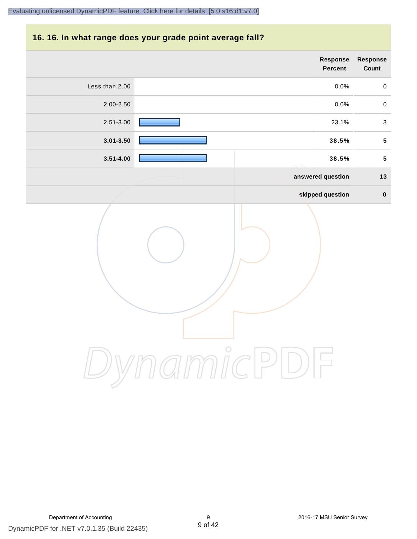#### **16. 16. In what range does your grade point average fall?**

|                | Response<br>Percent | Response<br>Count       |
|----------------|---------------------|-------------------------|
| Less than 2.00 | 0.0%                | $\pmb{0}$               |
| $2.00 - 2.50$  | 0.0%                | $\mathsf{O}\xspace$     |
| 2.51-3.00      | 23.1%               | $\mathbf{3}$            |
| $3.01 - 3.50$  | 38.5%               | $\overline{\mathbf{5}}$ |
| $3.51 - 4.00$  | 38.5%               | ${\bf 5}$               |
|                | answered question   | 13                      |
|                | skipped question    | $\pmb{0}$               |
|                |                     |                         |

DynamicPDF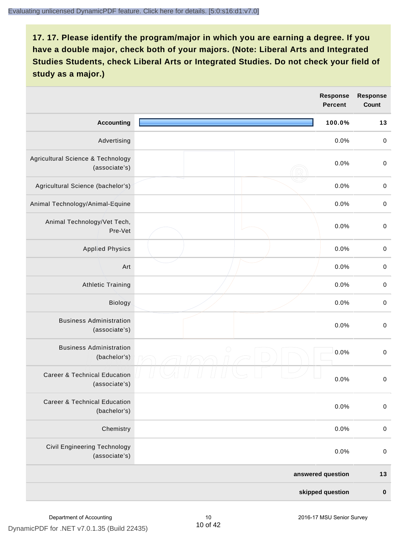|                                                          |            | <b>Response</b><br><b>Percent</b> | <b>Response</b><br>Count |
|----------------------------------------------------------|------------|-----------------------------------|--------------------------|
| <b>Accounting</b>                                        |            | 100.0%                            | 13                       |
| Advertising                                              |            | 0.0%                              | $\pmb{0}$                |
| Agricultural Science & Technology<br>(associate's)       |            | 0.0%                              | $\mathbf 0$              |
| Agricultural Science (bachelor's)                        |            | 0.0%                              | $\mathbf 0$              |
| Animal Technology/Animal-Equine                          |            | 0.0%                              | $\mathbf 0$              |
| Animal Technology/Vet Tech,<br>Pre-Vet                   |            | 0.0%                              | $\mathbf 0$              |
| <b>Applied Physics</b>                                   |            | 0.0%                              | $\pmb{0}$                |
| Art                                                      |            | 0.0%                              | $\mathbf 0$              |
| <b>Athletic Training</b>                                 |            | 0.0%                              | $\,0\,$                  |
| Biology                                                  |            | 0.0%                              | $\mathbf 0$              |
| <b>Business Administration</b><br>(associate's)          |            | 0.0%                              | $\mathbf 0$              |
| <b>Business Administration</b><br>(bachelor's)           | $\bigcirc$ | 0.0%                              | $\mathbf 0$              |
| <b>Career &amp; Technical Education</b><br>(associate's) |            | 0.0%                              | $\mathbf 0$              |
| <b>Career &amp; Technical Education</b><br>(bachelor's)  |            | 0.0%                              | $\mathbf 0$              |
| Chemistry                                                |            | 0.0%                              | $\mathbf 0$              |
| Civil Engineering Technology<br>(associate's)            |            | 0.0%                              | $\pmb{0}$                |
|                                                          |            | answered question                 | $13$                     |
|                                                          |            | skipped question                  | $\pmb{0}$                |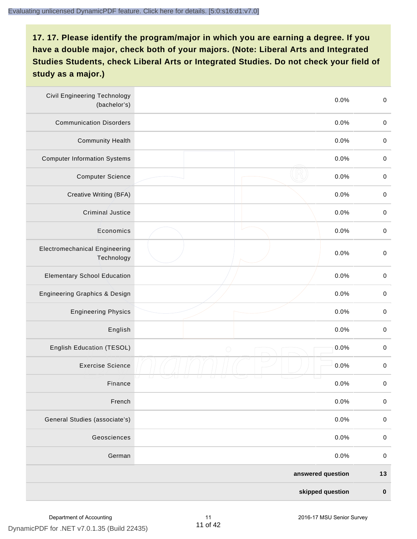| <b>Civil Engineering Technology</b><br>(bachelor's) | 0.0%               | $\mbox{O}$  |
|-----------------------------------------------------|--------------------|-------------|
| <b>Communication Disorders</b>                      | 0.0%               | $\mathbf 0$ |
| <b>Community Health</b>                             | 0.0%               | $\,0\,$     |
| <b>Computer Information Systems</b>                 | 0.0%               | $\,0\,$     |
| <b>Computer Science</b>                             | 0.0%               | $\mathbf 0$ |
| Creative Writing (BFA)                              | 0.0%               | $\mathbf 0$ |
| <b>Criminal Justice</b>                             | 0.0%               | $\mathbf 0$ |
| Economics                                           | 0.0%               | $\,0\,$     |
| <b>Electromechanical Engineering</b><br>Technology  | 0.0%               | $\pmb{0}$   |
| <b>Elementary School Education</b>                  | 0.0%               | $\mathbf 0$ |
| <b>Engineering Graphics &amp; Design</b>            | 0.0%               | $\pmb{0}$   |
| <b>Engineering Physics</b>                          | 0.0%               | $\pmb{0}$   |
| English                                             | 0.0%               | $\pmb{0}$   |
| English Education (TESOL)                           | 0.0%<br>$\bigcirc$ | $\mathbf 0$ |
| <b>Exercise Science</b>                             | 0.0%               | $\pmb{0}$   |
| Finance                                             | 0.0%               | $\,0\,$     |
| French                                              | 0.0%               | $\pmb{0}$   |
| General Studies (associate's)                       | 0.0%               | $\mathbf 0$ |
| Geosciences                                         | 0.0%               | $\mathbf 0$ |
| German                                              | 0.0%               | $\mathbf 0$ |
|                                                     | answered question  | $13$        |
|                                                     | skipped question   | $\pmb{0}$   |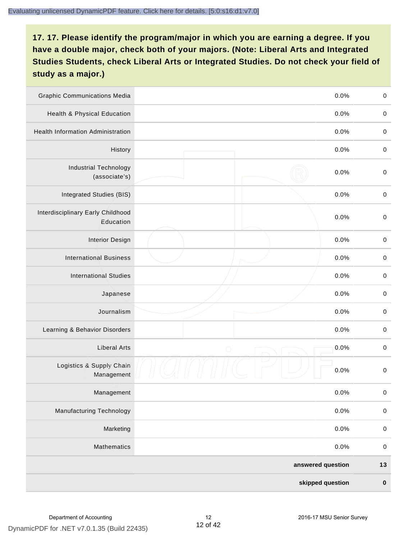| <b>Graphic Communications Media</b>            |                   | 0.0%             | $\,0\,$     |
|------------------------------------------------|-------------------|------------------|-------------|
| Health & Physical Education                    |                   | 0.0%             | $\mathbf 0$ |
| <b>Health Information Administration</b>       |                   | 0.0%             | $\mathbf 0$ |
| History                                        |                   | 0.0%             | $\pmb{0}$   |
| <b>Industrial Technology</b><br>(associate's)  |                   | 0.0%             | $\mathbf 0$ |
| Integrated Studies (BIS)                       |                   | 0.0%             | $\mathbf 0$ |
| Interdisciplinary Early Childhood<br>Education |                   | 0.0%             | $\pmb{0}$   |
| <b>Interior Design</b>                         |                   | 0.0%             | $\pmb{0}$   |
| <b>International Business</b>                  |                   | 0.0%             | $\mathbf 0$ |
| <b>International Studies</b>                   |                   | 0.0%             | $\,0\,$     |
| Japanese                                       |                   | 0.0%             | $\,0\,$     |
| Journalism                                     |                   | 0.0%             | $\pmb{0}$   |
| Learning & Behavior Disorders                  |                   | 0.0%             | $\pmb{0}$   |
| <b>Liberal Arts</b>                            | $\bigcirc$        | 0.0%             | $\pmb{0}$   |
| Logistics & Supply Chain<br>Management         |                   | 0.0%             | $\pmb{0}$   |
| Management                                     |                   | 0.0%             | $\pmb{0}$   |
| <b>Manufacturing Technology</b>                |                   | 0.0%             | $\pmb{0}$   |
| Marketing                                      |                   | 0.0%             | $\mathbf 0$ |
| Mathematics                                    |                   | 0.0%             | $\,0\,$     |
|                                                | answered question |                  | $13$        |
|                                                |                   | skipped question | $\pmb{0}$   |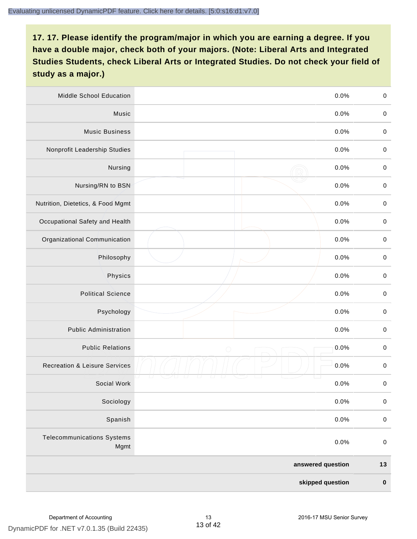| <b>Middle School Education</b>            | 0.0%               | $\,0\,$     |
|-------------------------------------------|--------------------|-------------|
| Music                                     | 0.0%               | $\pmb{0}$   |
| <b>Music Business</b>                     | 0.0%               | $\mathbf 0$ |
| Nonprofit Leadership Studies              | 0.0%               | $\pmb{0}$   |
| Nursing                                   | 0.0%               | $\pmb{0}$   |
| Nursing/RN to BSN                         | 0.0%               | $\,0\,$     |
| Nutrition, Dietetics, & Food Mgmt         | 0.0%               | $\pmb{0}$   |
| Occupational Safety and Health            | 0.0%               | $\mathbf 0$ |
| Organizational Communication              | 0.0%               | $\pmb{0}$   |
| Philosophy                                | 0.0%               | $\pmb{0}$   |
| Physics                                   | 0.0%               | $\,0\,$     |
| <b>Political Science</b>                  | 0.0%               | $\mathbf 0$ |
| Psychology                                | 0.0%               | $\mathbf 0$ |
| <b>Public Administration</b>              | 0.0%               | $\pmb{0}$   |
| <b>Public Relations</b>                   | 0.0%<br>$\bigcirc$ | $\pmb{0}$   |
| <b>Recreation &amp; Leisure Services</b>  | 0.0%               | $\,0\,$     |
| Social Work                               | 0.0%               | $\,0\,$     |
| Sociology                                 | 0.0%               | $\mathbf 0$ |
| Spanish                                   | 0.0%               | $\pmb{0}$   |
| <b>Telecommunications Systems</b><br>Mgmt | 0.0%               | $\pmb{0}$   |
|                                           | answered question  | $13$        |
|                                           | skipped question   | $\pmb{0}$   |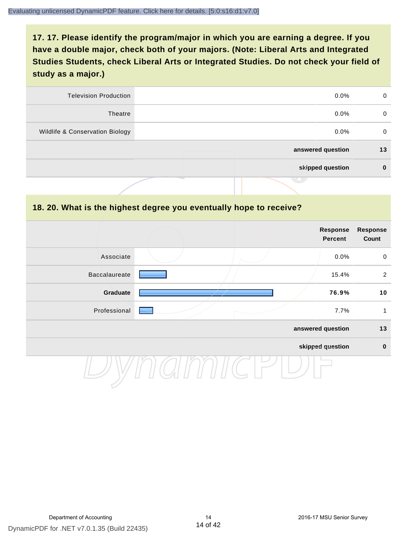| <b>Television Production</b>    | $0.0\%$           | 0  |
|---------------------------------|-------------------|----|
| Theatre                         | $0.0\%$           | 0  |
| Wildlife & Conservation Biology | $0.0\%$           | 0  |
|                                 | answered question | 13 |
|                                 | skipped question  | 0  |
|                                 | .                 |    |

#### **18. 20. What is the highest degree you eventually hope to receive?**

|               |  |  | Response<br>Percent | <b>Response</b><br>Count |
|---------------|--|--|---------------------|--------------------------|
| Associate     |  |  | 0.0%                | $\mathbf 0$              |
| Baccalaureate |  |  | 15.4%               | $\overline{2}$           |
| Graduate      |  |  | 76.9%               | 10                       |
| Professional  |  |  | 7.7%                | 1                        |
|               |  |  | answered question   | 13                       |
|               |  |  | skipped question    | $\mathbf 0$              |
|               |  |  |                     |                          |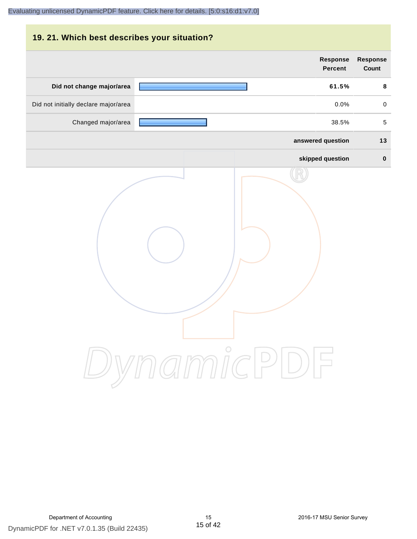| 19. 21. Which best describes your situation? |                                   |                                 |
|----------------------------------------------|-----------------------------------|---------------------------------|
|                                              | <b>Response</b><br><b>Percent</b> | <b>Response</b><br><b>Count</b> |
| Did not change major/area                    | 61.5%                             | 8                               |
| Did not initially declare major/area         | 0.0%                              | $\mathbf 0$                     |
| Changed major/area                           | 38.5%                             | 5                               |
|                                              | answered question                 | 13                              |
|                                              | skipped question                  | $\bf{0}$                        |
|                                              | DynamicPDF                        |                                 |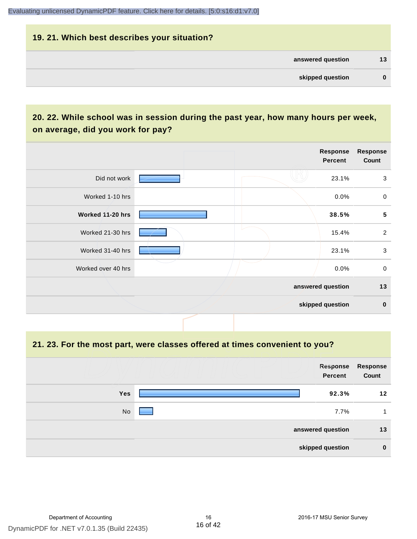# **19. 21. Which best describes your situation? answered question 13 skipped question 0**

# **20. 22. While school was in session during the past year, how many hours per week, on average, did you work for pay?**

|                    |  | Response<br><b>Percent</b> | <b>Response</b><br>Count |
|--------------------|--|----------------------------|--------------------------|
| Did not work       |  | 23.1%                      | $\mathbf{3}$             |
| Worked 1-10 hrs    |  | $0.0\%$                    | $\mathbf 0$              |
| Worked 11-20 hrs   |  | 38.5%                      | $5\phantom{.0}$          |
| Worked 21-30 hrs   |  | 15.4%                      | $\overline{2}$           |
| Worked 31-40 hrs   |  | 23.1%                      | $\mathbf{3}$             |
| Worked over 40 hrs |  | $0.0\%$                    | $\mathbf 0$              |
|                    |  | answered question          | 13                       |
|                    |  | skipped question           | $\mathbf 0$              |

**21. 23. For the most part, were classes offered at times convenient to you?**

|                  | Response<br>Percent | <b>Response</b><br>Count |
|------------------|---------------------|--------------------------|
| <b>Yes</b>       | 92.3%               | 12                       |
| No               | 7.7%                |                          |
|                  | answered question   | 13                       |
| skipped question |                     | $\bf{0}$                 |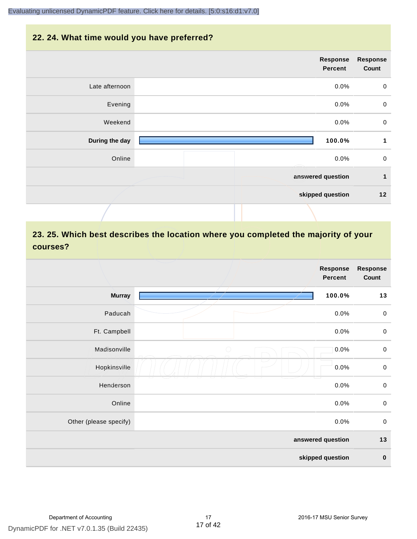#### **22. 24. What time would you have preferred?**

| <b>Response</b><br>Count | Response<br>Percent |                |
|--------------------------|---------------------|----------------|
| $\mathbf 0$              | $0.0\%$             | Late afternoon |
| $\mathbf 0$              | 0.0%                | Evening        |
| $\mathbf 0$              | 0.0%                | Weekend        |
| 1                        | 100.0%              | During the day |
| $\mathbf 0$              | 0.0%                | Online         |
| $\mathbf{1}$             | answered question   |                |
| 12                       | skipped question    |                |
|                          |                     |                |

# **23. 25. Which best describes the location where you completed the majority of your courses?**

|                        |            | <b>Response</b><br><b>Percent</b> | <b>Response</b><br>Count |
|------------------------|------------|-----------------------------------|--------------------------|
| <b>Murray</b>          |            | 100.0%                            | 13                       |
| Paducah                |            | 0.0%                              | $\mathbf 0$              |
| Ft. Campbell           |            | 0.0%                              | $\mathbf 0$              |
| Madisonville           | $\bigcirc$ | 0.0%                              | $\mathbf 0$              |
| Hopkinsville           |            | 0.0%                              | $\pmb{0}$                |
| Henderson              |            | 0.0%                              | $\,0\,$                  |
| Online                 |            | 0.0%                              | $\pmb{0}$                |
| Other (please specify) |            | 0.0%                              | $\mathsf 0$              |
|                        |            | answered question                 | $13$                     |
|                        |            | skipped question                  | $\pmb{0}$                |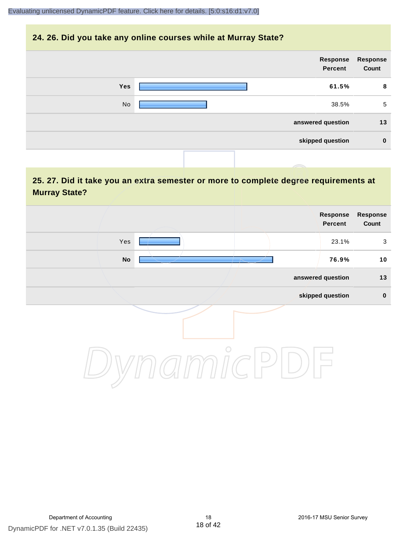#### **24. 26. Did you take any online courses while at Murray State?**

| <b>Response</b> | Response          |     |
|-----------------|-------------------|-----|
| Count           | Percent           |     |
| 8               | 61.5%             | Yes |
| 5               | 38.5%             | No  |
| 13              | answered question |     |
| $\mathbf 0$     | skipped question  |     |
|                 |                   |     |

# **25. 27. Did it take you an extra semester or more to complete degree requirements at Murray State?**

| <b>Response</b><br>Response<br>Percent<br>Count |         |                            |
|-------------------------------------------------|---------|----------------------------|
| 23.1%<br>$\mathbf{3}$                           |         | Yes                        |
| 10<br>76.9%                                     | -17     | $\mathop{\sf No}\nolimits$ |
| answered question<br>13                         |         |                            |
| skipped question<br>$\pmb{0}$                   |         |                            |
|                                                 | $\circ$ |                            |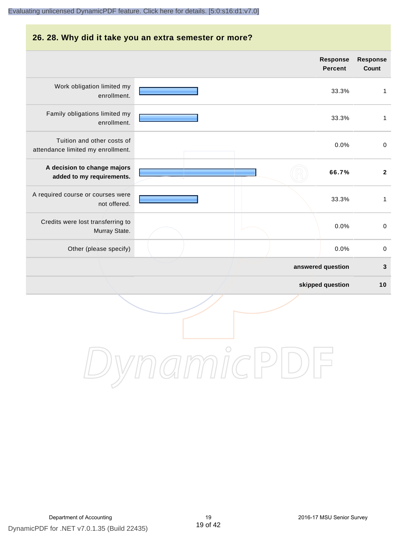# **26. 28. Why did it take you an extra semester or more? answered question 3 skipped question 10 Response Percent Response Count** Work obligation limited my enrollment. 33.3% 1 Family obligations limited my enrollment. 33.3% 1 Tuition and other costs of attendance limited my enrollment. 0.0% 0 **A decision to change majors added to my requirements. 66.7% 2** A required course or courses were not offered. 33.3% 1 Credits were lost transferring to Murray State. 0.0% 0 Other (please specify) and the contract of the contract of the contract of the contract of the contract of the contract of the contract of the contract of the contract of the contract of the contract of the contract of the

DynamicPDF for .NET v7.0.1.35 (Build 22435) Department of Accounting The Counting 19 2016-17 MSU Senior Survey

DynamicPDF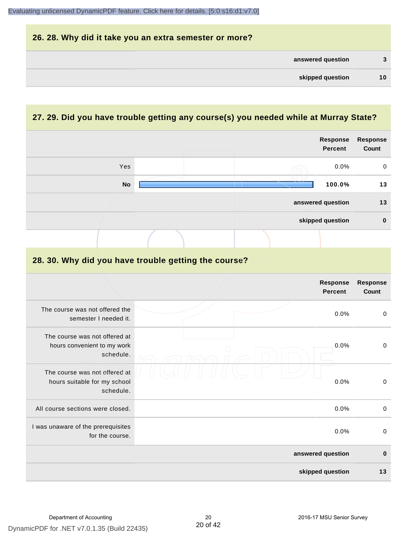| 26. 28. Why did it take you an extra semester or more? |    |
|--------------------------------------------------------|----|
| answered question                                      | 3  |
| skipped question                                       | 10 |

# **27. 29. Did you have trouble getting any course(s) you needed while at Murray State?**

|                                                                            |  |  | Response<br><b>Percent</b> | <b>Response</b><br>Count |
|----------------------------------------------------------------------------|--|--|----------------------------|--------------------------|
| Yes                                                                        |  |  | 0.0%                       | 0                        |
| <b>No</b>                                                                  |  |  | 100.0%                     | 13                       |
|                                                                            |  |  | answered question          | 13                       |
|                                                                            |  |  | skipped question           | $\mathbf 0$              |
|                                                                            |  |  |                            |                          |
| 28. 30. Why did you have trouble getting the course?                       |  |  |                            |                          |
|                                                                            |  |  | Response<br><b>Percent</b> | Response<br>Count        |
| The course was not offered the<br>semester I needed it.                    |  |  | 0.0%                       | $\pmb{0}$                |
| The course was not offered at<br>hours convenient to my work<br>schedule.  |  |  | 0.0%                       | $\mathsf 0$              |
| The course was not offered at<br>hours suitable for my school<br>schedule. |  |  | 0.0%                       | $\pmb{0}$                |
| All course sections were closed.                                           |  |  | 0.0%                       | $\mathsf 0$              |
| I was unaware of the prerequisites<br>for the course.                      |  |  | 0.0%                       | $\mbox{O}$               |
|                                                                            |  |  | answered question          | $\bf{0}$                 |
|                                                                            |  |  | skipped question           | 13                       |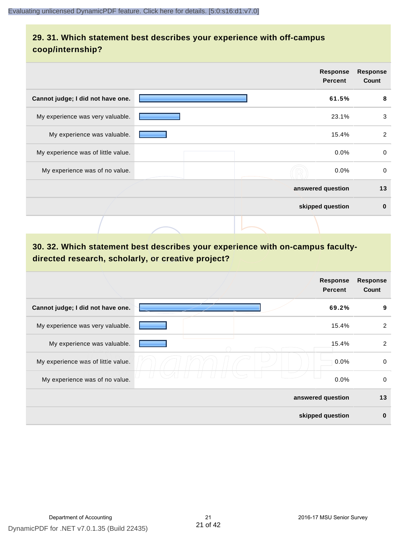# **29. 31. Which statement best describes your experience with off-campus coop/internship?**

|                                    | <b>Response</b><br><b>Percent</b> | <b>Response</b><br>Count |
|------------------------------------|-----------------------------------|--------------------------|
| Cannot judge; I did not have one.  | 61.5%                             | 8                        |
| My experience was very valuable.   | 23.1%                             | 3                        |
| My experience was valuable.        | 15.4%                             | $\overline{2}$           |
| My experience was of little value. | $0.0\%$                           | $\Omega$                 |
| My experience was of no value.     | $0.0\%$                           | $\mathbf 0$              |
|                                    | answered question                 | 13                       |
|                                    | skipped question                  | $\bf{0}$                 |
|                                    |                                   |                          |

# **30. 32. Which statement best describes your experience with on-campus facultydirected research, scholarly, or creative project?**

|                                    |                   | <b>Response</b><br><b>Percent</b> | <b>Response</b><br>Count |
|------------------------------------|-------------------|-----------------------------------|--------------------------|
| Cannot judge; I did not have one.  |                   | 69.2%                             | 9                        |
| My experience was very valuable.   |                   | 15.4%                             | 2                        |
| My experience was valuable.        |                   | 15.4%                             | $\overline{2}$           |
| My experience was of little value. |                   | 0.0%                              | 0                        |
| My experience was of no value.     |                   | 0.0%                              | 0                        |
|                                    | answered question |                                   | 13                       |
|                                    | skipped question  |                                   | $\bf{0}$                 |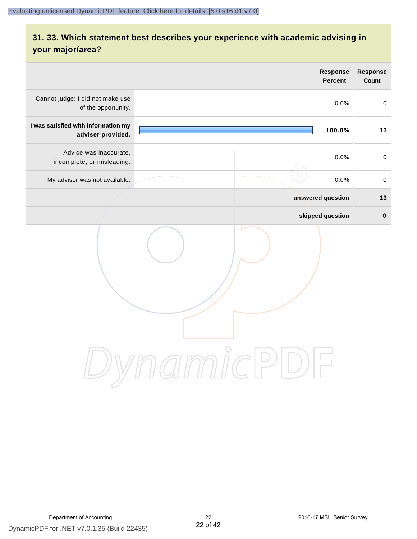# **31. 33. Which statement best describes your experience with academic advising in your major/area?**

|                                                                      | <b>Response</b><br>Percent | <b>Response</b><br>Count |
|----------------------------------------------------------------------|----------------------------|--------------------------|
| Cannot judge; I did not make use<br>of the opportunity.              | 0.0%                       | $\pmb{0}$                |
| I was satisfied with information my<br>adviser provided.             | 100.0%                     | 13                       |
| Advice was inaccurate,<br>incomplete, or misleading.                 | 0.0%                       | $\mathbf 0$              |
| My adviser was not available.                                        | 0.0%                       | $\pmb{0}$                |
|                                                                      | answered question          | $13$                     |
|                                                                      | skipped question           | $\mathbf 0$              |
| $\bigcirc$<br>$\mathcal{I}\text{mmIC}$<br>$(\quad)$<br>$\frac{1}{2}$ |                            |                          |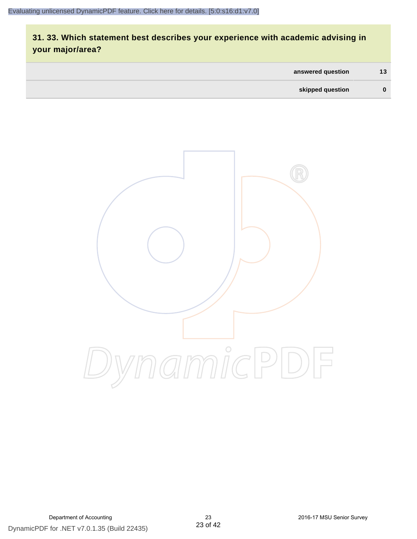# **31. 33. Which statement best describes your experience with academic advising in your major/area?**

| answered question | 13 |
|-------------------|----|
| skipped question  | 0  |

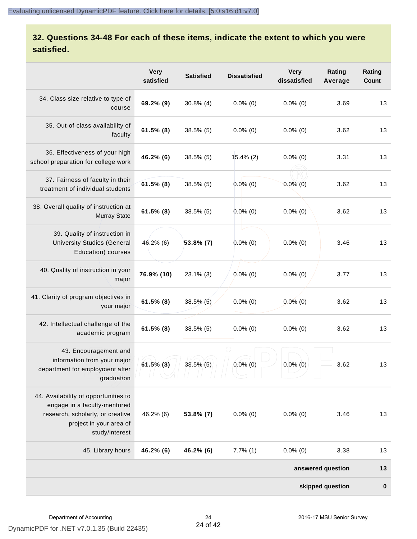# **32. Questions 34-48 For each of these items, indicate the extent to which you were satisfied.**

|                                                                                                                                                       | <b>Very</b><br>satisfied | <b>Satisfied</b> | <b>Dissatisfied</b> | <b>Very</b><br>dissatisfied | Rating<br>Average | Rating<br>Count  |
|-------------------------------------------------------------------------------------------------------------------------------------------------------|--------------------------|------------------|---------------------|-----------------------------|-------------------|------------------|
| 34. Class size relative to type of<br>course                                                                                                          | 69.2% (9)                | $30.8\%$ (4)     | $0.0\%$ (0)         | $0.0\%$ (0)                 | 3.69              | 13               |
| 35. Out-of-class availability of<br>faculty                                                                                                           | $61.5\%$ (8)             | $38.5\%$ (5)     | $0.0\%$ (0)         | $0.0\%$ (0)                 | 3.62              | 13               |
| 36. Effectiveness of your high<br>school preparation for college work                                                                                 | 46.2% (6)                | 38.5% (5)        | $15.4\%$ (2)        | $0.0\%$ (0)                 | 3.31              | 13               |
| 37. Fairness of faculty in their<br>treatment of individual students                                                                                  | $61.5\%$ (8)             | $38.5\%$ (5)     | $0.0\%$ (0)         | $0.0\%$ (0)                 | 3.62              | 13               |
| 38. Overall quality of instruction at<br><b>Murray State</b>                                                                                          | $61.5\%$ (8)             | $38.5\%$ (5)     | $0.0\%$ (0)         | $0.0\%$ (0)                 | 3.62              | 13               |
| 39. Quality of instruction in<br><b>University Studies (General</b><br>Education) courses                                                             | $46.2\%$ (6)             | $53.8\%$ (7)     | $0.0\%$ (0)         | $0.0\%$ (0)                 | 3.46              | 13               |
| 40. Quality of instruction in your<br>major                                                                                                           | 76.9% (10)               | $23.1\%$ (3)     | $0.0\%$ (0)         | $0.0\%$ (0)                 | 3.77              | 13               |
| 41. Clarity of program objectives in<br>your major                                                                                                    | $61.5\%$ (8)             | $38.5\%$ (5)     | $0.0\%$ (0)         | $0.0\%$ (0)                 | 3.62              | 13               |
| 42. Intellectual challenge of the<br>academic program                                                                                                 | $61.5\%$ (8)             | 38.5% (5)        | $0.0\%$ (0)         | $0.0\%$ (0)                 | 3.62              | 13               |
| 43. Encouragement and<br>information from your major<br>department for employment after<br>graduation                                                 | $61.5\%$ (8)             | $38.5\%$ (5)     | $0.0\%$ (0)         | $0.0\%$ (0)                 | 3.62              | 13               |
| 44. Availability of opportunities to<br>engage in a faculty-mentored<br>research, scholarly, or creative<br>project in your area of<br>study/interest | 46.2% (6)                | $53.8\%$ (7)     | $0.0\%$ (0)         | $0.0\%$ (0)                 | 3.46              | 13               |
| 45. Library hours                                                                                                                                     | 46.2% (6)                | 46.2% (6)        | $7.7\%$ (1)         | $0.0\%$ (0)                 | 3.38              | 13               |
|                                                                                                                                                       |                          |                  |                     |                             | answered question | 13               |
|                                                                                                                                                       |                          |                  |                     |                             | skipped question  | $\boldsymbol{0}$ |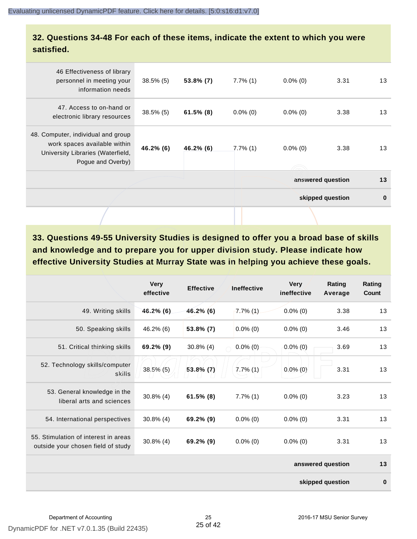#### **32. Questions 34-48 For each of these items, indicate the extent to which you were satisfied.**

|                                                                                                                              |              |              |             |             | skipped question  | $\bf{0}$ |
|------------------------------------------------------------------------------------------------------------------------------|--------------|--------------|-------------|-------------|-------------------|----------|
|                                                                                                                              |              |              |             |             | answered question | 13       |
| 48. Computer, individual and group<br>work spaces available within<br>University Libraries (Waterfield,<br>Pogue and Overby) | $46.2\%$ (6) | 46.2% (6)    | $7.7\%$ (1) | $0.0\%$ (0) | 3.38              | 13       |
| 47. Access to on-hand or<br>electronic library resources                                                                     | $38.5\%$ (5) | $61.5\%$ (8) | $0.0\%$ (0) | $0.0\%$ (0) | 3.38              | 13       |
| 46 Effectiveness of library<br>personnel in meeting your<br>information needs                                                | $38.5\%$ (5) | $53.8\%$ (7) | $7.7\%$ (1) | $0.0\%$ (0) | 3.31              | 13       |
|                                                                                                                              |              |              |             |             |                   |          |

**33. Questions 49-55 University Studies is designed to offer you a broad base of skills and knowledge and to prepare you for upper division study. Please indicate how effective University Studies at Murray State was in helping you achieve these goals.**

|                                                                            | <b>Very</b><br>effective | <b>Effective</b> | <b>Ineffective</b> | <b>Very</b><br>ineffective | Rating<br>Average | Rating<br>Count |
|----------------------------------------------------------------------------|--------------------------|------------------|--------------------|----------------------------|-------------------|-----------------|
| 49. Writing skills                                                         | 46.2% (6)                | $46.2\%$ (6)     | $7.7\%$ (1)        | $0.0\%$ (0)                | 3.38              | 13              |
| 50. Speaking skills                                                        | 46.2% (6)                | 53.8% (7)        | $0.0\%$ (0)        | $0.0\%$ (0)                | 3.46              | 13              |
| 51. Critical thinking skills                                               | 69.2% (9)                | $30.8\%$ (4)     | $0.0\%$ (0)        | $0.0\%$ (0)                | 3.69              | 13              |
| 52. Technology skills/computer<br>skills                                   | $38.5\%$ (5)             | 53.8% (7)        | $7.7\%$ $(1)$      | $0.0\%$ (0)                | 3.31              | 13              |
| 53. General knowledge in the<br>liberal arts and sciences                  | $30.8\%$ (4)             | $61.5\%$ (8)     | $7.7\%$ (1)        | $0.0\%$ (0)                | 3.23              | 13              |
| 54. International perspectives                                             | $30.8\%$ (4)             | 69.2% (9)        | $0.0\%$ (0)        | $0.0\%$ (0)                | 3.31              | 13              |
| 55. Stimulation of interest in areas<br>outside your chosen field of study | $30.8\%$ (4)             | 69.2% (9)        | $0.0\%$ (0)        | $0.0\%$ (0)                | 3.31              | 13              |
|                                                                            |                          |                  |                    |                            | answered question | 13              |
|                                                                            |                          |                  |                    |                            | skipped question  | $\bf{0}$        |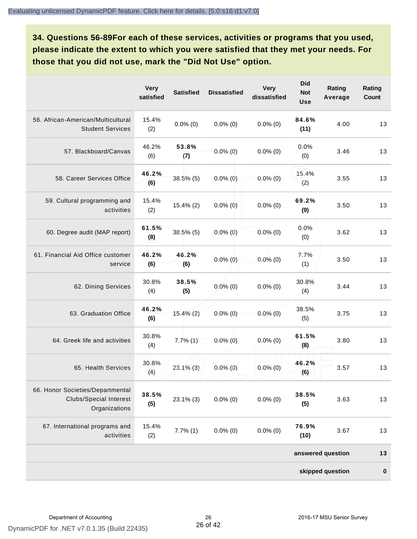**34. Questions 56-89For each of these services, activities or programs that you used, please indicate the extent to which you were satisfied that they met your needs. For those that you did not use, mark the "Did Not Use" option.**

|                                                                                    | <b>Very</b><br>satisfied | <b>Satisfied</b> | <b>Dissatisfied</b> | <b>Very</b><br>dissatisfied | <b>Did</b><br><b>Not</b><br><b>Use</b> | Rating<br>Average | Rating<br>Count |
|------------------------------------------------------------------------------------|--------------------------|------------------|---------------------|-----------------------------|----------------------------------------|-------------------|-----------------|
| 56. African-American/Multicultural<br><b>Student Services</b>                      | 15.4%<br>(2)             | $0.0\%$ (0)      | $0.0\%$ (0)         | $0.0\%$ (0)                 | 84.6%<br>(11)                          | 4.00              | 13              |
| 57. Blackboard/Canvas                                                              | 46.2%<br>(6)             | 53.8%<br>(7)     | $0.0\%$ (0)         | $0.0\%$ (0)                 | 0.0%<br>(0)                            | 3.46              | 13              |
| 58. Career Services Office                                                         | 46.2%<br>(6)             | $38.5\%$ (5)     | $0.0\%$ (0)         | $0.0\%$ (0)                 | 15.4%<br>(2)                           | 3.55              | 13              |
| 59. Cultural programming and<br>activities                                         | 15.4%<br>(2)             | $15.4\%$ (2)     | $0.0\%$ (0)         | $0.0\%$ (0)                 | 69.2%<br>(9)                           | 3.50              | 13              |
| 60. Degree audit (MAP report)                                                      | 61.5%<br>(8)             | $38.5\%$ (5)     | $0.0\%$ (0)         | $0.0\%$ (0)                 | 0.0%<br>(0)                            | 3.62              | 13              |
| 61. Financial Aid Office customer<br>service                                       | 46.2%<br>(6)             | 46.2%<br>(6)     | $0.0\%$ (0)         | $0.0\%$ (0)                 | 7.7%<br>(1)                            | 3.50              | 13              |
| 62. Dining Services                                                                | 30.8%<br>(4)             | 38.5%<br>(5)     | $0.0\%$ (0)         | $0.0\%$ (0)                 | 30.8%<br>(4)                           | 3.44              | 13              |
| 63. Graduation Office                                                              | 46.2%<br>(6)             | $15.4\%$ (2)     | $0.0\%$ (0)         | $0.0\%$ (0)                 | 38.5%<br>(5)                           | 3.75              | 13              |
| 64. Greek life and activities                                                      | 30.8%<br>(4)             | 7.7%(1)          | $0.0\%$ (0)         | $0.0\%$ (0)                 | 61.5%<br>(8)                           | 3.80              | 13              |
| 65. Health Services                                                                | 30.8%<br>(4)             | $23.1\%$ (3)     | $0.0\%$ (0)         | $0.0\%$ (0)                 | 46.2%<br>(6)                           | 3.57              | 13              |
| 66. Honor Societies/Departmental<br><b>Clubs/Special Interest</b><br>Organizations | 38.5%<br>(5)             | $23.1\%$ (3)     | $0.0\%$ (0)         | $0.0\%$ (0)                 | 38.5%<br>(5)                           | 3.63              | 13              |
| 67. International programs and<br>activities                                       | 15.4%<br>(2)             | $7.7\%$ $(1)$    | $0.0\%$ (0)         | $0.0\%$ (0)                 | 76.9%<br>(10)                          | 3.67              | 13              |
|                                                                                    |                          |                  |                     |                             |                                        | answered question | 13              |
|                                                                                    |                          |                  |                     |                             |                                        | skipped question  | $\pmb{0}$       |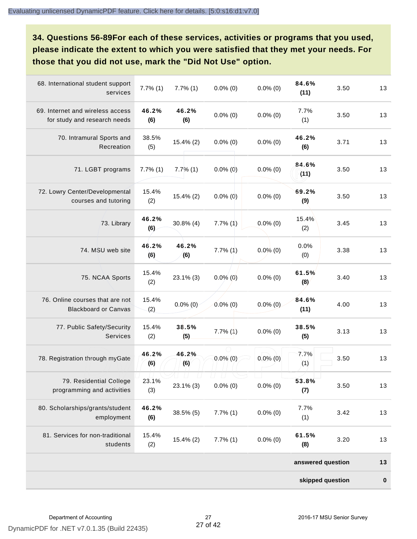**34. Questions 56-89For each of these services, activities or programs that you used, please indicate the extent to which you were satisfied that they met your needs. For those that you did not use, mark the "Did Not Use" option.**

|                                                                  |               |               |               |             | skipped question  |      | $\pmb{0}$ |
|------------------------------------------------------------------|---------------|---------------|---------------|-------------|-------------------|------|-----------|
|                                                                  |               |               |               |             | answered question |      | 13        |
| 81. Services for non-traditional<br>students                     | 15.4%<br>(2)  | 15.4% (2)     | 7.7%(1)       | $0.0\%$ (0) | 61.5%<br>(8)      | 3.20 | 13        |
| 80. Scholarships/grants/student<br>employment                    | 46.2%<br>(6)  | $38.5\%$ (5)  | $7.7\%$ $(1)$ | $0.0\%$ (0) | 7.7%<br>(1)       | 3.42 | 13        |
| 79. Residential College<br>programming and activities            | 23.1%<br>(3)  | $23.1\%$ (3)  | $0.0\%$ (0)   | $0.0\%$ (0) | 53.8%<br>(7)      | 3.50 | 13        |
| 78. Registration through myGate                                  | 46.2%<br>(6)  | 46.2%<br>(6)  | $0.0\%$ (0)   | $0.0\%$ (0) | 7.7%<br>(1)       | 3.50 | 13        |
| 77. Public Safety/Security<br>Services                           | 15.4%<br>(2)  | 38.5%<br>(5)  | $7.7\%$ $(1)$ | $0.0\%$ (0) | 38.5%<br>(5)      | 3.13 | 13        |
| 76. Online courses that are not<br><b>Blackboard or Canvas</b>   | 15.4%<br>(2)  | $0.0\%$ (0)   | $0.0\%$ (0)   | $0.0\%$ (0) | 84.6%<br>(11)     | 4.00 | 13        |
| 75. NCAA Sports                                                  | 15.4%<br>(2)  | 23.1% (3)     | $0.0\%$ (0)   | $0.0\%$ (0) | 61.5%<br>(8)      | 3.40 | 13        |
| 74. MSU web site                                                 | 46.2%<br>(6)  | 46.2%<br>(6)  | $7.7\%$ $(1)$ | $0.0\%$ (0) | 0.0%<br>(0)       | 3.38 | 13        |
| 73. Library                                                      | 46.2%<br>(6)  | $30.8\%$ (4)  | 7.7%(1)       | $0.0\%$ (0) | 15.4%<br>(2)      | 3.45 | 13        |
| 72. Lowry Center/Developmental<br>courses and tutoring           | 15.4%<br>(2)  | 15.4% (2)     | $0.0\%$ (0)   | $0.0\%$ (0) | 69.2%<br>(9)      | 3.50 | 13        |
| 71. LGBT programs                                                | $7.7\%$ $(1)$ | $7.7\%$ (1)   | $0.0\%$ (0)   | $0.0\%$ (0) | 84.6%<br>(11)     | 3.50 | 13        |
| 70. Intramural Sports and<br>Recreation                          | 38.5%<br>(5)  | $15.4\%$ (2)  | $0.0\%$ (0)   | $0.0\%$ (0) | 46.2%<br>(6)      | 3.71 | 13        |
| 69. Internet and wireless access<br>for study and research needs | 46.2%<br>(6)  | 46.2%<br>(6)  | $0.0\%$ (0)   | $0.0\%$ (0) | 7.7%<br>(1)       | 3.50 | 13        |
| 68. International student support<br>services                    | $7.7\%$ $(1)$ | $7.7\%$ $(1)$ | $0.0\%$ (0)   | $0.0\%$ (0) | 84.6%<br>(11)     | 3.50 | 13        |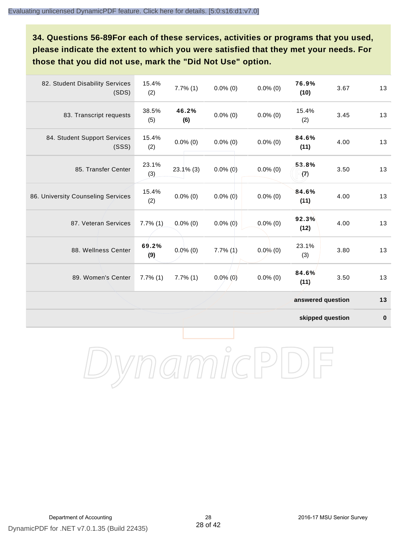**34. Questions 56-89For each of these services, activities or programs that you used, please indicate the extent to which you were satisfied that they met your needs. For those that you did not use, mark the "Did Not Use" option.**

| 82. Student Disability Services<br>(SDS) | 15.4%<br>(2) | $7.7\%$ (1)   | $0.0\%$ (0)   | $0.0\%$ (0) | 76.9%<br>(10)     | 3.67 | 13 |
|------------------------------------------|--------------|---------------|---------------|-------------|-------------------|------|----|
| 83. Transcript requests                  | 38.5%<br>(5) | 46.2%<br>(6)  | $0.0\%$ (0)   | $0.0\%$ (0) | 15.4%<br>(2)      | 3.45 | 13 |
| 84. Student Support Services<br>(SSS)    | 15.4%<br>(2) | $0.0\%$ (0)   | $0.0\%$ (0)   | $0.0\%$ (0) | 84.6%<br>(11)     | 4.00 | 13 |
| 85. Transfer Center                      | 23.1%<br>(3) | $23.1\%$ (3)  | $0.0\%$ (0)   | $0.0\%$ (0) | 53.8%<br>(7)      | 3.50 | 13 |
| 86. University Counseling Services       | 15.4%<br>(2) | $0.0\%$ (0)   | $0.0\%$ (0)   | $0.0\%$ (0) | 84.6%<br>(11)     | 4.00 | 13 |
| 87. Veteran Services                     | $7.7\%$ (1)  | $0.0\%$ (0)   | $0.0\%$ (0)   | $0.0\%$ (0) | 92.3%<br>(12)     | 4.00 | 13 |
| 88. Wellness Center                      | 69.2%<br>(9) | $0.0\%$ (0)   | $7.7\%$ $(1)$ | $0.0\%$ (0) | 23.1%<br>(3)      | 3.80 | 13 |
| 89. Women's Center                       | 7.7%(1)      | $7.7\%$ $(1)$ | $0.0\%$ (0)   | $0.0\%$ (0) | 84.6%<br>(11)     | 3.50 | 13 |
|                                          |              |               |               |             | answered question |      | 13 |

**skipped question 0**

DynamicPDF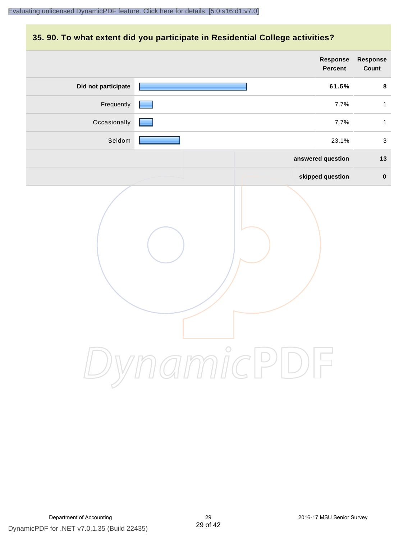### **35. 90. To what extent did you participate in Residential College activities?**

|                     | Response<br>Percent | Response<br>Count |
|---------------------|---------------------|-------------------|
| Did not participate | 61.5%               | 8                 |
| Frequently          | 7.7%                | $\mathbf{1}$      |
| Occasionally        | 7.7%                | $\mathbf{1}$      |
| Seldom              | 23.1%               | $\mathbf{3}$      |
|                     | answered question   | $13$              |
|                     | skipped question    | $\pmb{0}$         |
|                     | ynamicPD            |                   |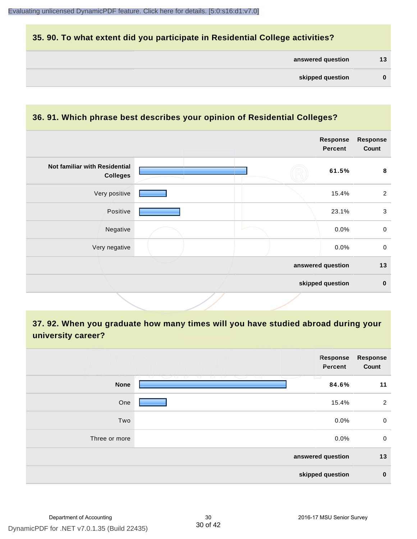### **35. 90. To what extent did you participate in Residential College activities?**

| answered question | 13 |
|-------------------|----|
|-------------------|----|

#### **36. 91. Which phrase best describes your opinion of Residential Colleges?**

|                                                  |  | <b>Response</b><br><b>Percent</b> | <b>Response</b><br>Count |
|--------------------------------------------------|--|-----------------------------------|--------------------------|
| Not familiar with Residential<br><b>Colleges</b> |  | 61.5%                             | 8                        |
| Very positive                                    |  | 15.4%                             | $\overline{2}$           |
| Positive                                         |  | 23.1%                             | $\mathbf{3}$             |
| Negative                                         |  | 0.0%                              | $\mathbf 0$              |
| Very negative                                    |  | 0.0%                              | $\mathbf 0$              |
|                                                  |  | answered question                 | 13                       |
|                                                  |  | skipped question                  | $\bf{0}$                 |

**37. 92. When you graduate how many times will you have studied abroad during your university career?**

|               | Response<br>Percent                                                                                             | <b>Response</b><br>Count |
|---------------|-----------------------------------------------------------------------------------------------------------------|--------------------------|
| <b>None</b>   | <u>VII U </u><br>- 1 - 1 - 1<br>12 L 12<br><b>Contract Contract Contract</b><br>The Contract<br>$\sim$<br>84.6% | 11                       |
| One           | 15.4%                                                                                                           | $\overline{2}$           |
| Two           | 0.0%                                                                                                            | $\mathbf 0$              |
| Three or more | 0.0%                                                                                                            | $\mathbf 0$              |
|               | answered question                                                                                               | 13                       |
|               | skipped question                                                                                                | $\mathbf 0$              |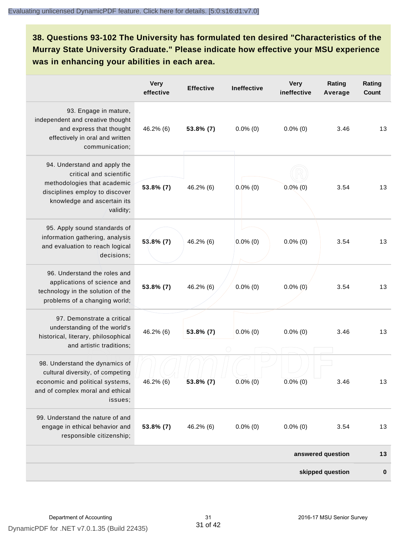**38. Questions 93-102 The University has formulated ten desired "Characteristics of the Murray State University Graduate." Please indicate how effective your MSU experience was in enhancing your abilities in each area.**

|                                                                                                                                                                      | <b>Very</b><br>effective | <b>Effective</b> | <b>Ineffective</b> | <b>Very</b><br>ineffective | Rating<br>Average | Rating<br>Count |
|----------------------------------------------------------------------------------------------------------------------------------------------------------------------|--------------------------|------------------|--------------------|----------------------------|-------------------|-----------------|
| 93. Engage in mature,<br>independent and creative thought<br>and express that thought<br>effectively in oral and written<br>communication;                           | 46.2% (6)                | 53.8% (7)        | $0.0\%$ (0)        | $0.0\%$ (0)                | 3.46              | 13              |
| 94. Understand and apply the<br>critical and scientific<br>methodologies that academic<br>disciplines employ to discover<br>knowledge and ascertain its<br>validity; | 53.8% (7)                | 46.2% (6)        | $0.0\%$ (0)        | $0.0\%$ (0)                | 3.54              | 13              |
| 95. Apply sound standards of<br>information gathering, analysis<br>and evaluation to reach logical<br>decisions;                                                     | $53.8\%$ (7)             | 46.2% (6)        | $0.0\%$ (0)        | $0.0\%$ (0)                | 3.54              | 13              |
| 96. Understand the roles and<br>applications of science and<br>technology in the solution of the<br>problems of a changing world;                                    | $53.8\%$ (7)             | 46.2% (6)        | $0.0\%$ (0)        | $0.0\%$ (0)                | 3.54              | 13              |
| 97. Demonstrate a critical<br>understanding of the world's<br>historical, literary, philosophical<br>and artistic traditions;                                        | 46.2% (6)                | 53.8% (7)        | $0.0\%$ (0)        | $0.0\%$ (0)                | 3.46              | 13              |
| 98. Understand the dynamics of<br>cultural diversity, of competing<br>economic and political systems,<br>and of complex moral and ethical<br>issues:                 | 46.2% (6)                | 53.8% (7)        | $0.0\%$ (0)        | $0.0\%$ (0)                | 3.46              | 13              |
| 99. Understand the nature of and<br>engage in ethical behavior and<br>responsible citizenship;                                                                       | 53.8% (7)                | 46.2% (6)        | $0.0\%$ (0)        | $0.0\%$ (0)                | 3.54              | 13              |
|                                                                                                                                                                      |                          |                  |                    |                            | answered question | 13              |
|                                                                                                                                                                      |                          |                  |                    |                            | skipped question  | $\bf{0}$        |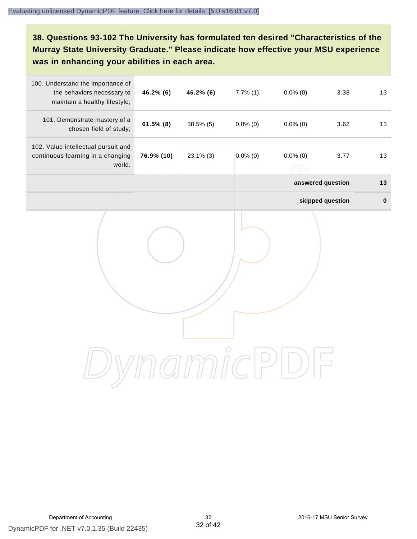**38. Questions 93-102 The University has formulated ten desired "Characteristics of the Murray State University Graduate." Please indicate how effective your MSU experience was in enhancing your abilities in each area.**

| 100. Understand the importance of<br>the behaviors necessary to<br>maintain a healthy lifestyle; | 46.2% (6)    | 46.2% (6)    | $7.7\%$ (1) | $0.0\%$ (0)      | 3.38              | 13        |
|--------------------------------------------------------------------------------------------------|--------------|--------------|-------------|------------------|-------------------|-----------|
| 101. Demonstrate mastery of a<br>chosen field of study;                                          | $61.5\%$ (8) | $38.5\%$ (5) | $0.0\%$ (0) | $0.0\%$ (0)      | 3.62              | 13        |
| 102. Value intellectual pursuit and<br>continuous learning in a changing<br>world.               | 76.9% (10)   | $23.1\%$ (3) | $0.0\%$ (0) | $0.0\%$ (0)<br>ĥ | 3.77              | 13        |
|                                                                                                  |              |              |             |                  | answered question | 13        |
|                                                                                                  |              |              |             |                  | skipped question  | $\pmb{0}$ |
|                                                                                                  |              |              |             |                  |                   |           |
|                                                                                                  |              |              |             |                  |                   |           |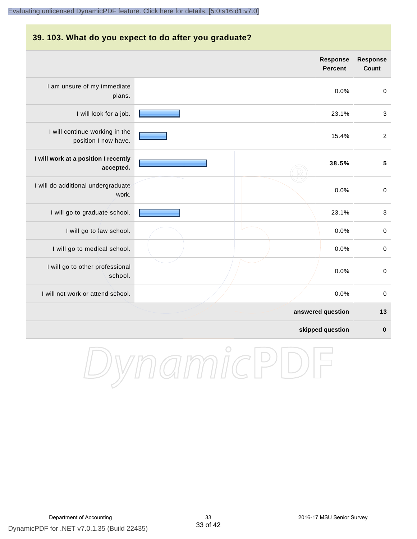#### **39. 103. What do you expect to do after you graduate?**

|                                                        | Response<br><b>Percent</b> | <b>Response</b><br>Count |
|--------------------------------------------------------|----------------------------|--------------------------|
| I am unsure of my immediate<br>plans.                  | 0.0%                       | $\pmb{0}$                |
| I will look for a job.                                 | 23.1%                      | $\mathbf{3}$             |
| I will continue working in the<br>position I now have. | 15.4%                      | $\sqrt{2}$               |
| I will work at a position I recently<br>accepted.      | 38.5%                      | $5\phantom{a}$           |
| I will do additional undergraduate<br>work.            | 0.0%                       | $\pmb{0}$                |
| I will go to graduate school.                          | 23.1%                      | 3                        |
| I will go to law school.                               | 0.0%                       | $\boldsymbol{0}$         |
| I will go to medical school.                           | 0.0%                       | $\boldsymbol{0}$         |
| I will go to other professional<br>school.             | 0.0%                       | $\boldsymbol{0}$         |
| I will not work or attend school.                      | 0.0%                       | $\pmb{0}$                |
|                                                        | answered question          | 13                       |
|                                                        | skipped question           | $\bf{0}$                 |

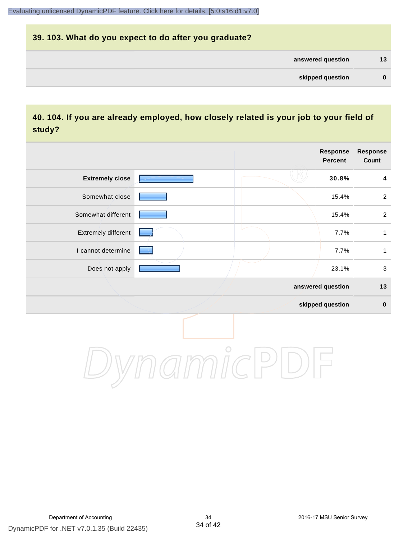# **39. 103. What do you expect to do after you graduate? answered question 13 skipped question 0**

### **40. 104. If you are already employed, how closely related is your job to your field of study?**

|                        |         | <b>Response</b><br><b>Percent</b> | <b>Response</b><br>Count |
|------------------------|---------|-----------------------------------|--------------------------|
| <b>Extremely close</b> |         | 30.8%                             | $\overline{\mathbf{4}}$  |
| Somewhat close         |         | 15.4%                             | $\sqrt{2}$               |
| Somewhat different     |         | 15.4%                             | $\overline{2}$           |
| Extremely different    |         | 7.7%                              | 1                        |
| I cannot determine     |         | 7.7%                              | $\mathbf{1}$             |
| Does not apply         |         | 23.1%                             | $\sqrt{3}$               |
|                        |         | answered question                 | $13$                     |
|                        |         | skipped question                  | $\pmb{0}$                |
|                        | $\circ$ |                                   |                          |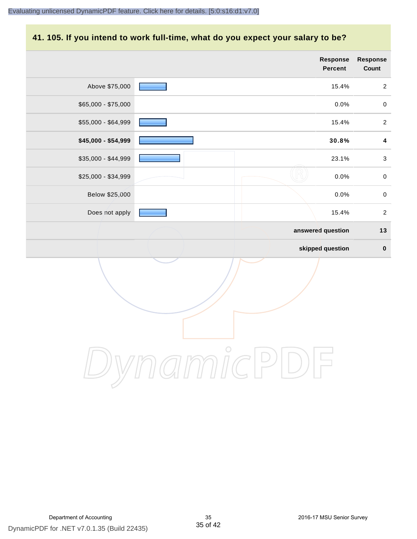#### **41. 105. If you intend to work full-time, what do you expect your salary to be?**

|                     | Response<br>Percent | Response<br>Count |
|---------------------|---------------------|-------------------|
| Above \$75,000      | 15.4%               | $\overline{2}$    |
| \$65,000 - \$75,000 | 0.0%                | $\pmb{0}$         |
| \$55,000 - \$64,999 | 15.4%               | $\overline{2}$    |
| \$45,000 - \$54,999 | 30.8%               | $\boldsymbol{4}$  |
| \$35,000 - \$44,999 | 23.1%               | $\mathfrak{Z}$    |
| \$25,000 - \$34,999 | 0.0%                | $\pmb{0}$         |
| Below \$25,000      | 0.0%                | $\pmb{0}$         |
| Does not apply      | 15.4%               | $\overline{2}$    |
|                     | answered question   | $13$              |
|                     | skipped question    | $\pmb{0}$         |
|                     |                     |                   |
|                     | $\bigcirc$          |                   |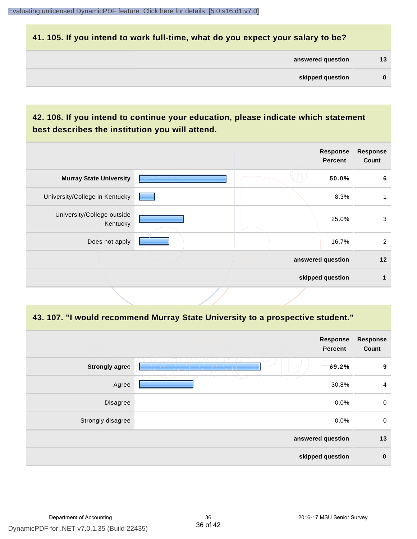#### **41. 105. If you intend to work full-time, what do you expect your salary to be?**

| answered question | 13 |
|-------------------|----|
|                   |    |

# **42. 106. If you intend to continue your education, please indicate which statement best describes the institution you will attend.**

|  | <b>Response</b><br><b>Percent</b> | <b>Response</b><br>Count              |
|--|-----------------------------------|---------------------------------------|
|  | 50.0%                             | 6                                     |
|  | 8.3%                              |                                       |
|  | 25.0%                             | 3                                     |
|  | 16.7%                             | 2                                     |
|  |                                   | 12                                    |
|  |                                   |                                       |
|  |                                   | answered question<br>skipped question |

#### **43. 107. "I would recommend Murray State University to a prospective student."**

|                       |                                                      | <b>Response</b><br>Percent | <b>Response</b><br>Count |
|-----------------------|------------------------------------------------------|----------------------------|--------------------------|
| <b>Strongly agree</b> |                                                      | 69.2%                      | 9                        |
| Agree                 | $\overline{\phantom{0}}$<br>$\sqrt{2}$<br>$\sqrt{2}$ | 30.8%                      | $\overline{4}$           |
| Disagree              |                                                      | 0.0%                       | $\mathbf 0$              |
| Strongly disagree     |                                                      | 0.0%                       | $\mathbf 0$              |
| answered question     |                                                      | 13                         |                          |
| skipped question      |                                                      | $\bf{0}$                   |                          |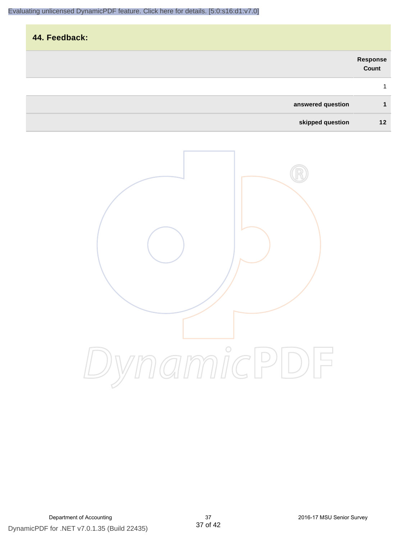# **44. Feedback: answered question 1 Response Count** 1

**skipped question 12**

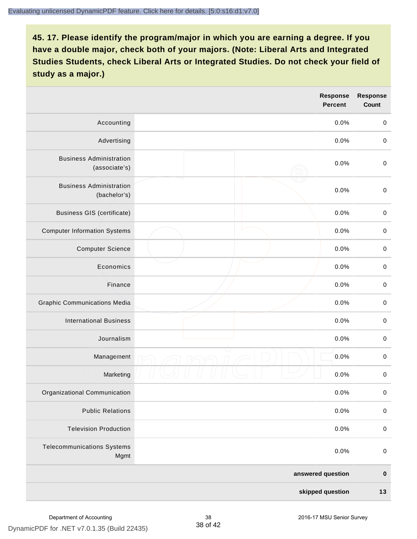|                                                 |  | <b>Response</b><br><b>Percent</b> | <b>Response</b><br>Count |
|-------------------------------------------------|--|-----------------------------------|--------------------------|
| Accounting                                      |  | 0.0%                              | $\mathbf 0$              |
| Advertising                                     |  | 0.0%                              | $\pmb{0}$                |
| <b>Business Administration</b><br>(associate's) |  | 0.0%                              | $\pmb{0}$                |
| <b>Business Administration</b><br>(bachelor's)  |  | 0.0%                              | $\pmb{0}$                |
| <b>Business GIS (certificate)</b>               |  | 0.0%                              | $\mathbf 0$              |
| <b>Computer Information Systems</b>             |  | 0.0%                              | $\pmb{0}$                |
| <b>Computer Science</b>                         |  | 0.0%                              | $\mathbf 0$              |
| Economics                                       |  | 0.0%                              | $\pmb{0}$                |
| Finance                                         |  | 0.0%                              | $\pmb{0}$                |
| <b>Graphic Communications Media</b>             |  | 0.0%                              | $\mathbf 0$              |
| <b>International Business</b>                   |  | 0.0%                              | $\pmb{0}$                |
| Journalism                                      |  | 0.0%                              | $\mathbf 0$              |
| Management                                      |  | 0.0%                              | $\pmb{0}$                |
| Marketing                                       |  | 0.0%                              | $\,0\,$                  |
| Organizational Communication                    |  | 0.0%                              | $\pmb{0}$                |
| <b>Public Relations</b>                         |  | 0.0%                              | $\mathbf 0$              |
| <b>Television Production</b>                    |  | 0.0%                              | $\mathsf 0$              |
| <b>Telecommunications Systems</b><br>Mgmt       |  | 0.0%                              | $\mathbf 0$              |
| answered question                               |  | $\pmb{0}$                         |                          |
| skipped question                                |  | $13$                              |                          |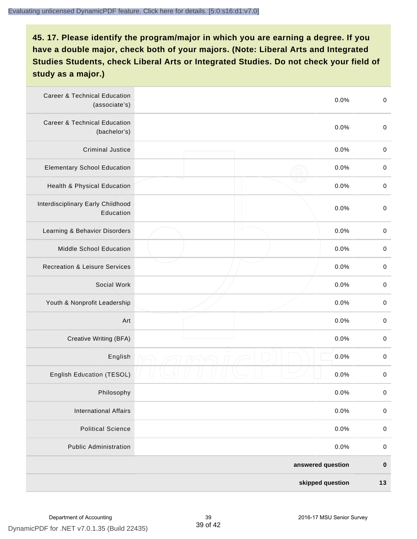| <b>Career &amp; Technical Education</b><br>(associate's) |  | 0.0% | $\pmb{0}$   |
|----------------------------------------------------------|--|------|-------------|
| <b>Career &amp; Technical Education</b><br>(bachelor's)  |  | 0.0% | $\mathbf 0$ |
| <b>Criminal Justice</b>                                  |  | 0.0% | $\,0\,$     |
| <b>Elementary School Education</b>                       |  | 0.0% | $\,0\,$     |
| Health & Physical Education                              |  | 0.0% | $\,0\,$     |
| Interdisciplinary Early Childhood<br>Education           |  | 0.0% | $\pmb{0}$   |
| Learning & Behavior Disorders                            |  | 0.0% | $\,0\,$     |
| <b>Middle School Education</b>                           |  | 0.0% | $\mathbf 0$ |
| <b>Recreation &amp; Leisure Services</b>                 |  | 0.0% | $\mathbf 0$ |
| Social Work                                              |  | 0.0% | $\mathbf 0$ |
| Youth & Nonprofit Leadership                             |  | 0.0% | $\mathbf 0$ |
| Art                                                      |  | 0.0% | $\,0\,$     |
| Creative Writing (BFA)                                   |  | 0.0% | $\pmb{0}$   |
| English                                                  |  | 0.0% | $\pmb{0}$   |
| English Education (TESOL)                                |  | 0.0% | $\pmb{0}$   |
| Philosophy                                               |  | 0.0% | 0           |
| <b>International Affairs</b>                             |  | 0.0% | $\pmb{0}$   |
| <b>Political Science</b>                                 |  | 0.0% | $\mathbf 0$ |
| <b>Public Administration</b>                             |  | 0.0% | $\mathbf 0$ |
| answered question                                        |  |      | $\pmb{0}$   |
| skipped question                                         |  | 13   |             |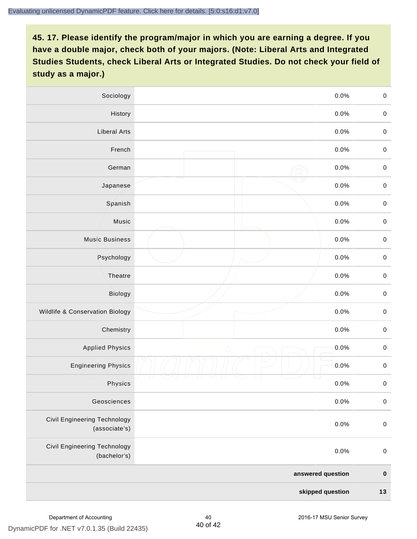| Sociology                                            | 0.0%               | $\mathbf 0$ |
|------------------------------------------------------|--------------------|-------------|
| History                                              | $0.0\%$            | $\pmb{0}$   |
| <b>Liberal Arts</b>                                  | 0.0%               | $\mathbf 0$ |
| French                                               | 0.0%               | $\pmb{0}$   |
| German                                               | 0.0%               | $\mathbf 0$ |
| Japanese                                             | 0.0%               | $\mathbf 0$ |
| Spanish                                              | 0.0%               | $\pmb{0}$   |
| Music                                                | 0.0%               | $\pmb{0}$   |
| <b>Music Business</b>                                | 0.0%               | $\pmb{0}$   |
| Psychology                                           | 0.0%               | $\mathbf 0$ |
| Theatre                                              | 0.0%               | $\mathbf 0$ |
| Biology                                              | 0.0%               | $\mathbf 0$ |
| Wildlife & Conservation Biology                      | 0.0%               | $\mathbf 0$ |
| Chemistry                                            | 0.0%               | $\pmb{0}$   |
| <b>Applied Physics</b>                               | 0.0%<br>$\bigcirc$ | $\mathbf 0$ |
| <b>Engineering Physics</b>                           | 0.0%               | $\mathbf 0$ |
| Physics                                              | 0.0%               | $\mathbf 0$ |
| Geosciences                                          | 0.0%               | $\mathbf 0$ |
| <b>Civil Engineering Technology</b><br>(associate's) | 0.0%               | $\pmb{0}$   |
| <b>Civil Engineering Technology</b><br>(bachelor's)  | 0.0%               | $\mathbf 0$ |
| answered question                                    |                    | $\pmb{0}$   |
| skipped question                                     |                    | $13$        |

40 of 42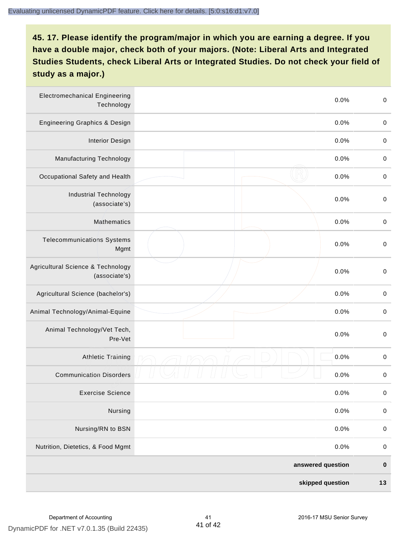| <b>Electromechanical Engineering</b><br>Technology |  | 0.0% | $\mathbf 0$ |
|----------------------------------------------------|--|------|-------------|
| <b>Engineering Graphics &amp; Design</b>           |  | 0.0% | $\mathbf 0$ |
| <b>Interior Design</b>                             |  | 0.0% | $\,0\,$     |
| Manufacturing Technology                           |  | 0.0% | $\,0\,$     |
| Occupational Safety and Health                     |  | 0.0% | $\pmb{0}$   |
| <b>Industrial Technology</b><br>(associate's)      |  | 0.0% | $\,0\,$     |
| <b>Mathematics</b>                                 |  | 0.0% | $\,0\,$     |
| <b>Telecommunications Systems</b><br>Mgmt          |  | 0.0% | $\,0\,$     |
| Agricultural Science & Technology<br>(associate's) |  | 0.0% | $\mathbf 0$ |
| Agricultural Science (bachelor's)                  |  | 0.0% | $\mathbf 0$ |
| Animal Technology/Animal-Equine                    |  | 0.0% | $\,0\,$     |
| Animal Technology/Vet Tech,<br>Pre-Vet             |  | 0.0% | $\,0\,$     |
| Athletic Training                                  |  | 0.0% | $\,0\,$     |
| <b>Communication Disorders</b>                     |  | 0.0% | $\,0\,$     |
| <b>Exercise Science</b>                            |  | 0.0% | $\pmb{0}$   |
| Nursing                                            |  | 0.0% | $\mathbf 0$ |
| Nursing/RN to BSN                                  |  | 0.0% | $\pmb{0}$   |
| Nutrition, Dietetics, & Food Mgmt                  |  | 0.0% | $\,0\,$     |
| answered question                                  |  |      | $\pmb{0}$   |
| skipped question                                   |  |      | $13$        |